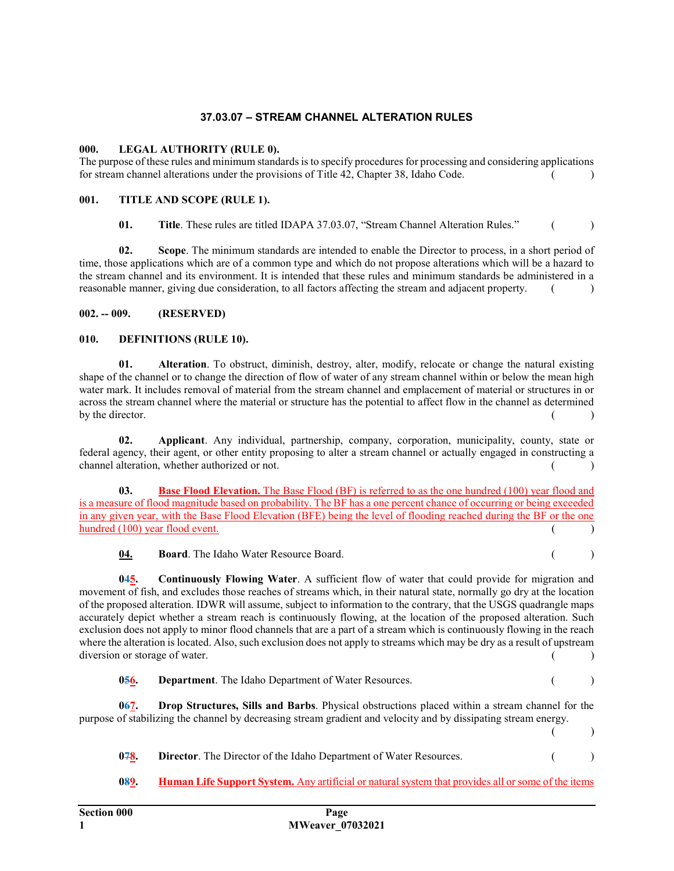# 37.03.07 – STREAM CHANNEL ALTERATION RULES

## 000. LEGAL AUTHORITY (RULE 0).

The purpose of these rules and minimum standards is to specify procedures for processing and considering applications for stream channel alterations under the provisions of Title 42, Chapter 38, Idaho Code. ( )

#### 001. TITLE AND SCOPE (RULE 1).

01. Title. These rules are titled IDAPA 37.03.07, "Stream Channel Alteration Rules." ()

02. Scope. The minimum standards are intended to enable the Director to process, in a short period of time, those applications which are of a common type and which do not propose alterations which will be a hazard to the stream channel and its environment. It is intended that these rules and minimum standards be administered in a reasonable manner, giving due consideration, to all factors affecting the stream and adjacent property. ()

## 002. -- 009. (RESERVED)

#### 010. DEFINITIONS (RULE 10).

01. Alteration. To obstruct, diminish, destroy, alter, modify, relocate or change the natural existing shape of the channel or to change the direction of flow of water of any stream channel within or below the mean high water mark. It includes removal of material from the stream channel and emplacement of material or structures in or across the stream channel where the material or structure has the potential to affect flow in the channel as determined by the director.  $($ 

02. Applicant. Any individual, partnership, company, corporation, municipality, county, state or federal agency, their agent, or other entity proposing to alter a stream channel or actually engaged in constructing a channel alteration, whether authorized or not. ( )

03. Base Flood Elevation. The Base Flood (BF) is referred to as the one hundred (100) year flood and is a measure of flood magnitude based on probability. The BF has a one percent chance of occurring or being exceeded in any given year, with the Base Flood Elevation (BFE) being the level of flooding reached during the BF or the one hundred  $(100)$  year flood event. ( )

04. Board. The Idaho Water Resource Board. ( )

045. Continuously Flowing Water. A sufficient flow of water that could provide for migration and movement of fish, and excludes those reaches of streams which, in their natural state, normally go dry at the location of the proposed alteration. IDWR will assume, subject to information to the contrary, that the USGS quadrangle maps accurately depict whether a stream reach is continuously flowing, at the location of the proposed alteration. Such exclusion does not apply to minor flood channels that are a part of a stream which is continuously flowing in the reach where the alteration is located. Also, such exclusion does not apply to streams which may be dry as a result of upstream diversion or storage of water. ( )

| <b>Department.</b> The Idaho Department of Water Resources. |  |
|-------------------------------------------------------------|--|
|                                                             |  |

067. Drop Structures, Sills and Barbs. Physical obstructions placed within a stream channel for the purpose of stabilizing the channel by decreasing stream gradient and velocity and by dissipating stream energy.  $($  )

078. Director. The Director of the Idaho Department of Water Resources. ( )

089. Human Life Support System. Any artificial or natural system that provides all or some of the items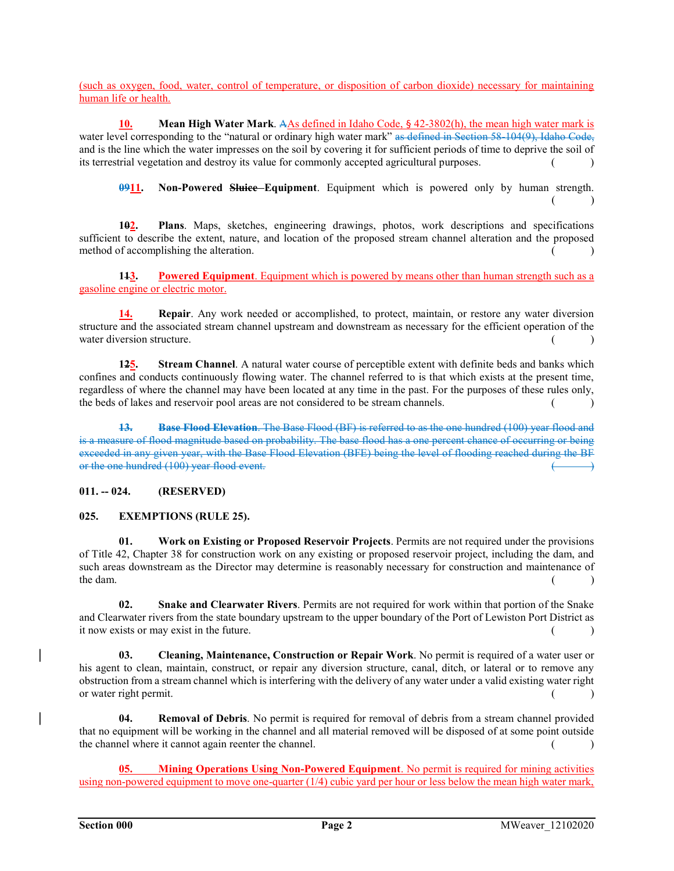(such as oxygen, food, water, control of temperature, or disposition of carbon dioxide) necessary for maintaining human life or health.

10. Mean High Water Mark. AAs defined in Idaho Code, § 42-3802(h), the mean high water mark is water level corresponding to the "natural or ordinary high water mark" as defined in Section 58-104(9), Idaho Code, and is the line which the water impresses on the soil by covering it for sufficient periods of time to deprive the soil of its terrestrial vegetation and destroy its value for commonly accepted agricultural purposes. ()

0911. Non-Powered Sluice-Equipment. Equipment which is powered only by human strength.  $($  )

102. Plans. Maps, sketches, engineering drawings, photos, work descriptions and specifications sufficient to describe the extent, nature, and location of the proposed stream channel alteration and the proposed method of accomplishing the alteration.  $($ 

143. Powered Equipment. Equipment which is powered by means other than human strength such as a gasoline engine or electric motor.

14. Repair. Any work needed or accomplished, to protect, maintain, or restore any water diversion structure and the associated stream channel upstream and downstream as necessary for the efficient operation of the water diversion structure.

125. Stream Channel. A natural water course of perceptible extent with definite beds and banks which confines and conducts continuously flowing water. The channel referred to is that which exists at the present time, regardless of where the channel may have been located at any time in the past. For the purposes of these rules only, the beds of lakes and reservoir pool areas are not considered to be stream channels. () ()

13. Base Flood Elevation. The Base Flood (BF) is referred to as the one hundred (100) year flood and is a measure of flood magnitude based on probability. The base flood has a one percent chance of occurring or being exceeded in any given year, with the Base Flood Elevation (BFE) being the level of flooding reached during the BF or the one hundred (100) year flood event.

# 011. -- 024. (RESERVED)

# 025. EXEMPTIONS (RULE 25).

01. Work on Existing or Proposed Reservoir Projects. Permits are not required under the provisions of Title 42, Chapter 38 for construction work on any existing or proposed reservoir project, including the dam, and such areas downstream as the Director may determine is reasonably necessary for construction and maintenance of  $\qquad \qquad$  the dam.  $($ 

02. Snake and Clearwater Rivers. Permits are not required for work within that portion of the Snake and Clearwater rivers from the state boundary upstream to the upper boundary of the Port of Lewiston Port District as it now exists or may exist in the future. ( )

03. Cleaning, Maintenance, Construction or Repair Work. No permit is required of a water user or his agent to clean, maintain, construct, or repair any diversion structure, canal, ditch, or lateral or to remove any obstruction from a stream channel which is interfering with the delivery of any water under a valid existing water right or water right permit.  $($ )

04. Removal of Debris. No permit is required for removal of debris from a stream channel provided that no equipment will be working in the channel and all material removed will be disposed of at some point outside the channel where it cannot again reenter the channel. ( )

05. Mining Operations Using Non-Powered Equipment. No permit is required for mining activities using non-powered equipment to move one-quarter (1/4) cubic yard per hour or less below the mean high water mark,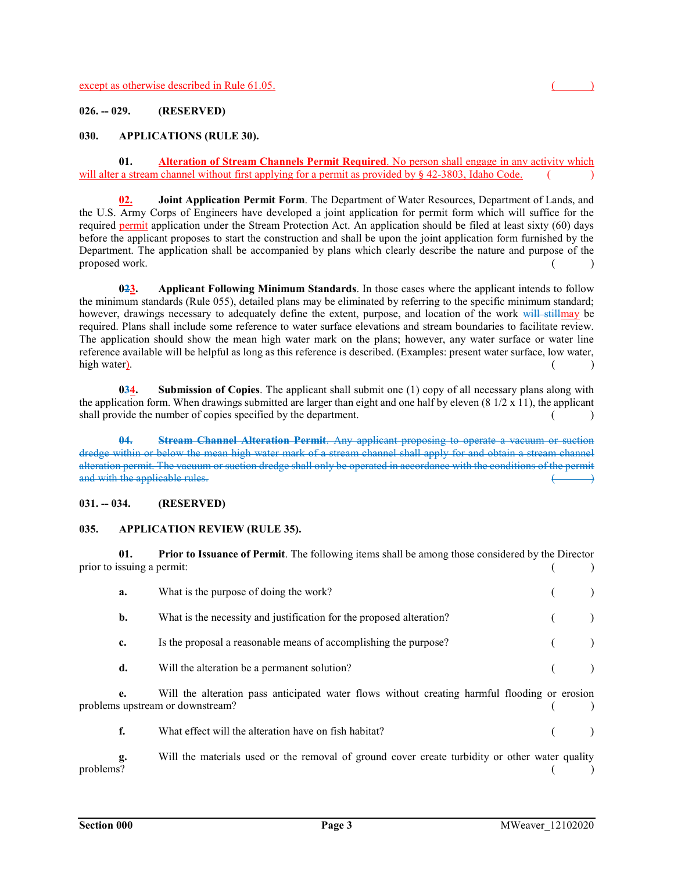## 026. -- 029. (RESERVED)

#### 030. APPLICATIONS (RULE 30).

01. Alteration of Stream Channels Permit Required. No person shall engage in any activity which will alter a stream channel without first applying for a permit as provided by  $\S$  42-3803, Idaho Code.

02. Joint Application Permit Form. The Department of Water Resources, Department of Lands, and the U.S. Army Corps of Engineers have developed a joint application for permit form which will suffice for the required permit application under the Stream Protection Act. An application should be filed at least sixty (60) days before the applicant proposes to start the construction and shall be upon the joint application form furnished by the Department. The application shall be accompanied by plans which clearly describe the nature and purpose of the  $p$ roposed work.  $($ 

023. Applicant Following Minimum Standards. In those cases where the applicant intends to follow the minimum standards (Rule 055), detailed plans may be eliminated by referring to the specific minimum standard; however, drawings necessary to adequately define the extent, purpose, and location of the work will stillmay be required. Plans shall include some reference to water surface elevations and stream boundaries to facilitate review. The application should show the mean high water mark on the plans; however, any water surface or water line reference available will be helpful as long as this reference is described. (Examples: present water surface, low water, high water). (a) and the set of the set of the set of the set of the set of the set of the set of the set of the set of the set of the set of the set of the set of the set of the set of the set of the set of the set of the

034. Submission of Copies. The applicant shall submit one (1) copy of all necessary plans along with the application form. When drawings submitted are larger than eight and one half by eleven  $(8\frac{1}{2} \times 11)$ , the applicant shall provide the number of copies specified by the department. ( )

04. Stream Channel Alteration Permit. Any applicant proposing to operate a vacuum or suction dredge within or below the mean high water mark of a stream channel shall apply for and obtain a stream channel alteration permit. The vacuum or suction dredge shall only be operated in accordance with the conditions of the permit and with the applicable rules.  $($ 

#### 031. -- 034. (RESERVED)

#### 035. APPLICATION REVIEW (RULE 35).

01. Prior to Issuance of Permit. The following items shall be among those considered by the Director prior to issuing a permit: ( )

|           | a. | What is the purpose of doing the work?                                                                                            |  |
|-----------|----|-----------------------------------------------------------------------------------------------------------------------------------|--|
|           | b. | What is the necessity and justification for the proposed alteration?                                                              |  |
|           | c. | Is the proposal a reasonable means of accomplishing the purpose?                                                                  |  |
|           | d. | Will the alteration be a permanent solution?                                                                                      |  |
|           | e. | Will the alteration pass anticipated water flows without creating harmful flooding or erosion<br>problems upstream or downstream? |  |
|           | f. | What effect will the alteration have on fish habitat?                                                                             |  |
| problems? | g. | Will the materials used or the removal of ground cover create turbidity or other water quality                                    |  |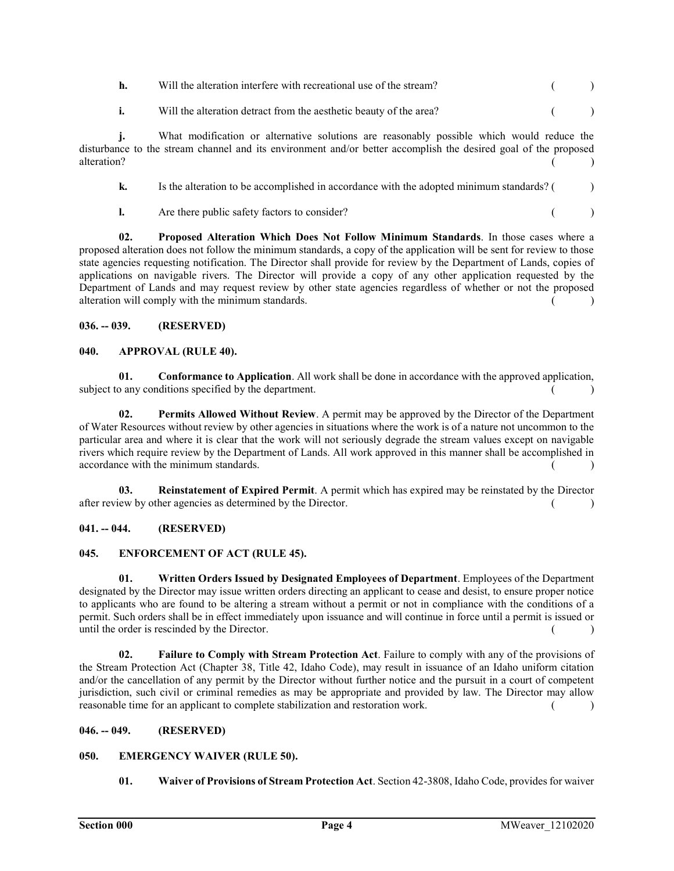| h.                           | Will the alteration interfere with recreational use of the stream?                                                                                                                                           |       |  |
|------------------------------|--------------------------------------------------------------------------------------------------------------------------------------------------------------------------------------------------------------|-------|--|
|                              | Will the alteration detract from the aesthetic beauty of the area?                                                                                                                                           | $($ ) |  |
| $\mathbf{1.}$<br>alteration? | What modification or alternative solutions are reasonably possible which would reduce the<br>disturbance to the stream channel and its environment and/or better accomplish the desired goal of the proposed |       |  |

| Is the alteration to be accomplished in accordance with the adopted minimum standards? ( |  |
|------------------------------------------------------------------------------------------|--|
|                                                                                          |  |

**l.** Are there public safety factors to consider? ( )

02. Proposed Alteration Which Does Not Follow Minimum Standards. In those cases where a proposed alteration does not follow the minimum standards, a copy of the application will be sent for review to those state agencies requesting notification. The Director shall provide for review by the Department of Lands, copies of applications on navigable rivers. The Director will provide a copy of any other application requested by the Department of Lands and may request review by other state agencies regardless of whether or not the proposed alteration will comply with the minimum standards. ( )

## 036. -- 039. (RESERVED)

## 040. APPROVAL (RULE 40).

01. Conformance to Application. All work shall be done in accordance with the approved application, subject to any conditions specified by the department.  $($ )

02. Permits Allowed Without Review. A permit may be approved by the Director of the Department of Water Resources without review by other agencies in situations where the work is of a nature not uncommon to the particular area and where it is clear that the work will not seriously degrade the stream values except on navigable rivers which require review by the Department of Lands. All work approved in this manner shall be accomplished in  $\alpha$  accordance with the minimum standards.  $($ 

03. Reinstatement of Expired Permit. A permit which has expired may be reinstated by the Director after review by other agencies as determined by the Director. ( )

## 041. -- 044. (RESERVED)

## 045. ENFORCEMENT OF ACT (RULE 45).

01. Written Orders Issued by Designated Employees of Department. Employees of the Department designated by the Director may issue written orders directing an applicant to cease and desist, to ensure proper notice to applicants who are found to be altering a stream without a permit or not in compliance with the conditions of a permit. Such orders shall be in effect immediately upon issuance and will continue in force until a permit is issued or until the order is rescinded by the Director. ( )

02. Failure to Comply with Stream Protection Act. Failure to comply with any of the provisions of the Stream Protection Act (Chapter 38, Title 42, Idaho Code), may result in issuance of an Idaho uniform citation and/or the cancellation of any permit by the Director without further notice and the pursuit in a court of competent jurisdiction, such civil or criminal remedies as may be appropriate and provided by law. The Director may allow reasonable time for an applicant to complete stabilization and restoration work. ( )

## 046. -- 049. (RESERVED)

# 050. EMERGENCY WAIVER (RULE 50).

01. Waiver of Provisions of Stream Protection Act. Section 42-3808, Idaho Code, provides for waiver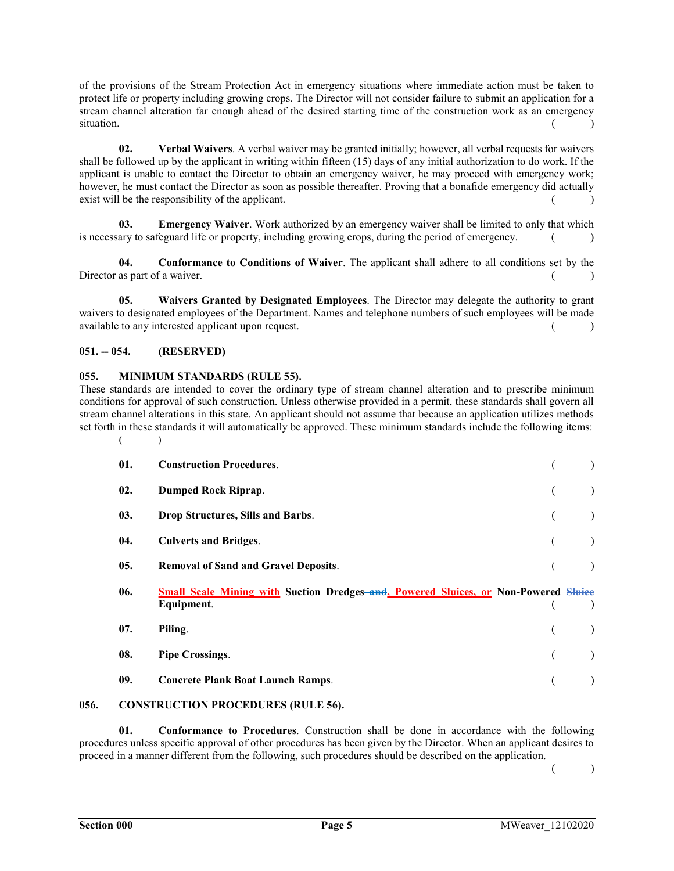of the provisions of the Stream Protection Act in emergency situations where immediate action must be taken to protect life or property including growing crops. The Director will not consider failure to submit an application for a stream channel alteration far enough ahead of the desired starting time of the construction work as an emergency  $\sim$  situation.  $($ 

02. Verbal Waivers. A verbal waiver may be granted initially; however, all verbal requests for waivers shall be followed up by the applicant in writing within fifteen (15) days of any initial authorization to do work. If the applicant is unable to contact the Director to obtain an emergency waiver, he may proceed with emergency work; however, he must contact the Director as soon as possible thereafter. Proving that a bonafide emergency did actually exist will be the responsibility of the applicant.

03. Emergency Waiver. Work authorized by an emergency waiver shall be limited to only that which is necessary to safeguard life or property, including growing crops, during the period of emergency.  $($ 

04. Conformance to Conditions of Waiver. The applicant shall adhere to all conditions set by the Director as part of a waiver.  $($ )

05. Waivers Granted by Designated Employees. The Director may delegate the authority to grant waivers to designated employees of the Department. Names and telephone numbers of such employees will be made available to any interested applicant upon request.

## 051. -- 054. (RESERVED)

## 055. MINIMUM STANDARDS (RULE 55).

These standards are intended to cover the ordinary type of stream channel alteration and to prescribe minimum conditions for approval of such construction. Unless otherwise provided in a permit, these standards shall govern all stream channel alterations in this state. An applicant should not assume that because an application utilizes methods set forth in these standards it will automatically be approved. These minimum standards include the following items:  $($ 

| 01. | <b>Construction Procedures.</b>                                                                          |  |
|-----|----------------------------------------------------------------------------------------------------------|--|
| 02. | <b>Dumped Rock Riprap.</b>                                                                               |  |
| 03. | Drop Structures, Sills and Barbs.                                                                        |  |
| 04. | <b>Culverts and Bridges.</b>                                                                             |  |
| 05. | <b>Removal of Sand and Gravel Deposits.</b>                                                              |  |
|     |                                                                                                          |  |
| 06. | <b>Small Scale Mining with Suction Dredges-and, Powered Sluices, or Non-Powered Sluice</b><br>Equipment. |  |
| 07. | Piling.                                                                                                  |  |
| 08. | <b>Pipe Crossings.</b>                                                                                   |  |
| 09. | <b>Concrete Plank Boat Launch Ramps.</b>                                                                 |  |

## 056. CONSTRUCTION PROCEDURES (RULE 56).

01. Conformance to Procedures. Construction shall be done in accordance with the following procedures unless specific approval of other procedures has been given by the Director. When an applicant desires to proceed in a manner different from the following, such procedures should be described on the application.

 $($  )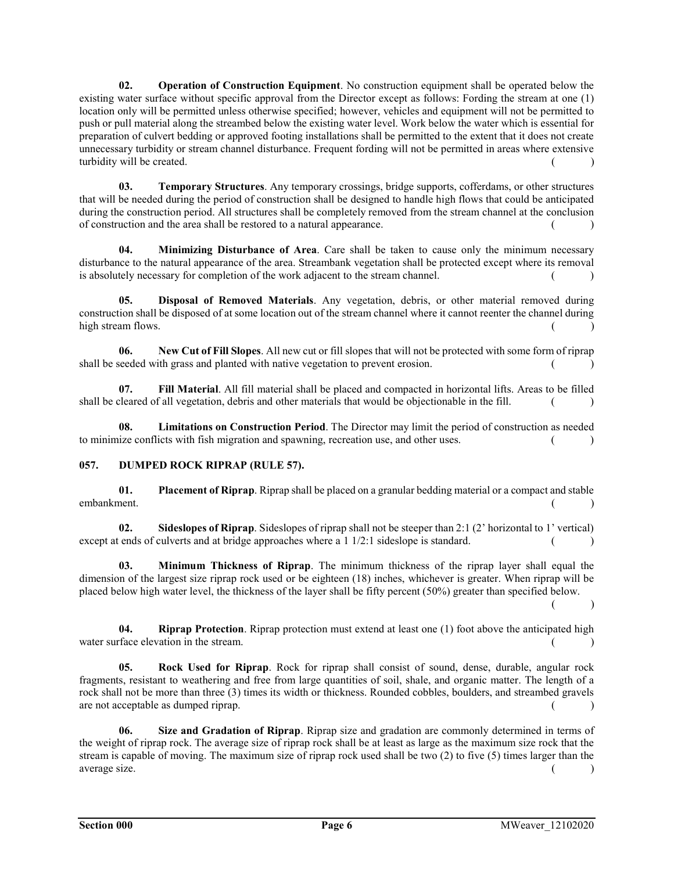02. Operation of Construction Equipment. No construction equipment shall be operated below the existing water surface without specific approval from the Director except as follows: Fording the stream at one (1) location only will be permitted unless otherwise specified; however, vehicles and equipment will not be permitted to push or pull material along the streambed below the existing water level. Work below the water which is essential for preparation of culvert bedding or approved footing installations shall be permitted to the extent that it does not create unnecessary turbidity or stream channel disturbance. Frequent fording will not be permitted in areas where extensive turbidity will be created.  $($ )

03. Temporary Structures. Any temporary crossings, bridge supports, cofferdams, or other structures that will be needed during the period of construction shall be designed to handle high flows that could be anticipated during the construction period. All structures shall be completely removed from the stream channel at the conclusion of construction and the area shall be restored to a natural appearance. ( )

04. Minimizing Disturbance of Area. Care shall be taken to cause only the minimum necessary disturbance to the natural appearance of the area. Streambank vegetation shall be protected except where its removal is absolutely necessary for completion of the work adjacent to the stream channel.  $($ 

05. Disposal of Removed Materials. Any vegetation, debris, or other material removed during construction shall be disposed of at some location out of the stream channel where it cannot reenter the channel during high stream flows. (a) and the stream flows.

06. New Cut of Fill Slopes. All new cut or fill slopes that will not be protected with some form of riprap shall be seeded with grass and planted with native vegetation to prevent erosion.  $($ 

07. Fill Material. All fill material shall be placed and compacted in horizontal lifts. Areas to be filled shall be cleared of all vegetation, debris and other materials that would be objectionable in the fill.  $( )$ 

08. Limitations on Construction Period. The Director may limit the period of construction as needed to minimize conflicts with fish migration and spawning, recreation use, and other uses. ( )

# 057. DUMPED ROCK RIPRAP (RULE 57).

01. Placement of Riprap. Riprap shall be placed on a granular bedding material or a compact and stable embankment. (a) and the contract of the contract of the contract of the contract of the contract of the contract of the contract of the contract of the contract of the contract of the contract of the contract of the contra

02. Sideslopes of Riprap. Sideslopes of riprap shall not be steeper than 2:1 (2' horizontal to 1' vertical) except at ends of culverts and at bridge approaches where a  $1 \frac{1}{2}$ : 1 sideslope is standard. ()

03. Minimum Thickness of Riprap. The minimum thickness of the riprap layer shall equal the dimension of the largest size riprap rock used or be eighteen (18) inches, whichever is greater. When riprap will be placed below high water level, the thickness of the layer shall be fifty percent (50%) greater than specified below.

 $($  )

04. Riprap Protection. Riprap protection must extend at least one (1) foot above the anticipated high water surface elevation in the stream.  $($ )

05. Rock Used for Riprap. Rock for riprap shall consist of sound, dense, durable, angular rock fragments, resistant to weathering and free from large quantities of soil, shale, and organic matter. The length of a rock shall not be more than three (3) times its width or thickness. Rounded cobbles, boulders, and streambed gravels  $\alpha$  are not acceptable as dumped riprap.  $($ 

06. Size and Gradation of Riprap. Riprap size and gradation are commonly determined in terms of the weight of riprap rock. The average size of riprap rock shall be at least as large as the maximum size rock that the stream is capable of moving. The maximum size of riprap rock used shall be two (2) to five (5) times larger than the average size. (a) and the set of the set of the set of the set of the set of the set of the set of the set of the set of the set of the set of the set of the set of the set of the set of the set of the set of the set of th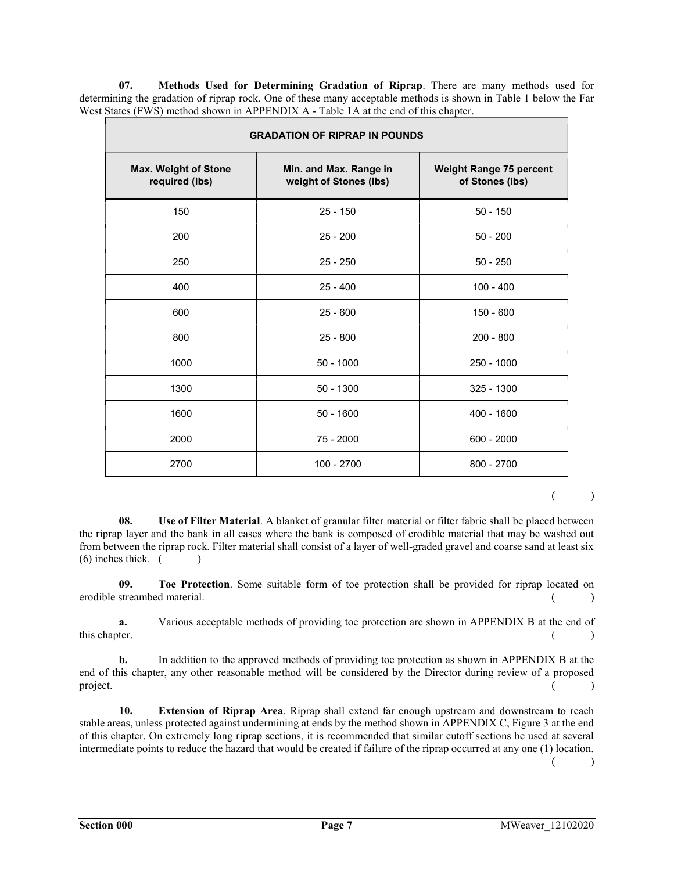07. Methods Used for Determining Gradation of Riprap. There are many methods used for determining the gradation of riprap rock. One of these many acceptable methods is shown in Table 1 below the Far West States (FWS) method shown in APPENDIX A - Table 1A at the end of this chapter.

| <b>GRADATION OF RIPRAP IN POUNDS</b>          |                                                  |                                                   |  |  |
|-----------------------------------------------|--------------------------------------------------|---------------------------------------------------|--|--|
| <b>Max. Weight of Stone</b><br>required (lbs) | Min. and Max. Range in<br>weight of Stones (lbs) | <b>Weight Range 75 percent</b><br>of Stones (lbs) |  |  |
| 150                                           | $25 - 150$                                       | $50 - 150$                                        |  |  |
| 200                                           | $25 - 200$                                       | $50 - 200$                                        |  |  |
| 250                                           | $25 - 250$                                       | $50 - 250$                                        |  |  |
| 400                                           | $25 - 400$                                       | $100 - 400$                                       |  |  |
| 600                                           | $25 - 600$                                       | $150 - 600$                                       |  |  |
| 800                                           | $25 - 800$                                       | $200 - 800$                                       |  |  |
| 1000                                          | $50 - 1000$                                      | 250 - 1000                                        |  |  |
| 1300                                          | $50 - 1300$                                      | 325 - 1300                                        |  |  |
| 1600                                          | $50 - 1600$                                      | 400 - 1600                                        |  |  |
| 2000                                          | 75 - 2000                                        | $600 - 2000$                                      |  |  |
| 2700                                          | 100 - 2700                                       | 800 - 2700                                        |  |  |

 $($  )

08. Use of Filter Material. A blanket of granular filter material or filter fabric shall be placed between the riprap layer and the bank in all cases where the bank is composed of erodible material that may be washed out from between the riprap rock. Filter material shall consist of a layer of well-graded gravel and coarse sand at least six  $(6)$  inches thick.  $($ 

09. Toe Protection. Some suitable form of toe protection shall be provided for riprap located on erodible streambed material. ( )

 a. Various acceptable methods of providing toe protection are shown in APPENDIX B at the end of this chapter. (a) and the chapter of the chapter of the chapter of the chapter of the chapter of the chapter of the chapter of the chapter of the chapter of the chapter of the chapter of the chapter of the chapter of the c

 b. In addition to the approved methods of providing toe protection as shown in APPENDIX B at the end of this chapter, any other reasonable method will be considered by the Director during review of a proposed  $\Box$  project.  $($ 

10. Extension of Riprap Area. Riprap shall extend far enough upstream and downstream to reach stable areas, unless protected against undermining at ends by the method shown in APPENDIX C, Figure 3 at the end of this chapter. On extremely long riprap sections, it is recommended that similar cutoff sections be used at several intermediate points to reduce the hazard that would be created if failure of the riprap occurred at any one (1) location.  $($  )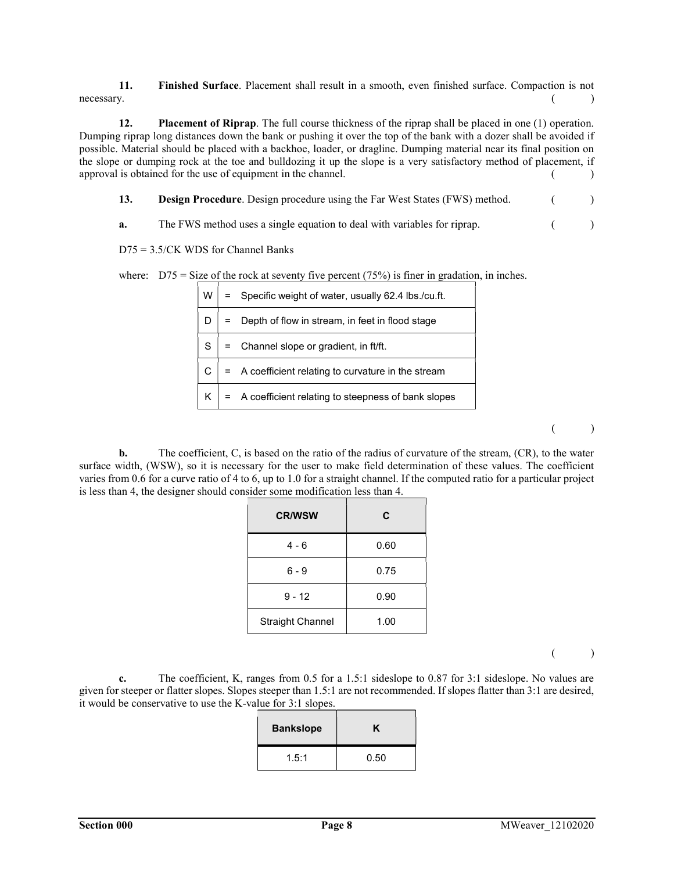11. Finished Surface. Placement shall result in a smooth, even finished surface. Compaction is not  $\blacksquare$  necessary.  $\begin{pmatrix} 1 & 1 \\ 1 & 1 \end{pmatrix}$ 

12. Placement of Riprap. The full course thickness of the riprap shall be placed in one (1) operation. Dumping riprap long distances down the bank or pushing it over the top of the bank with a dozer shall be avoided if possible. Material should be placed with a backhoe, loader, or dragline. Dumping material near its final position on the slope or dumping rock at the toe and bulldozing it up the slope is a very satisfactory method of placement, if approval is obtained for the use of equipment in the channel.  $($ )

13. **Design Procedure**. Design procedure using the Far West States (FWS) method. ( )

a. The FWS method uses a single equation to deal with variables for riprap. ()

D75 = 3.5/CK WDS for Channel Banks

where:  $D75 = Size$  of the rock at seventy five percent (75%) is finer in gradation, in inches.

| W  | = Specific weight of water, usually 62.4 lbs./cu.ft. |
|----|------------------------------------------------------|
|    | Depth of flow in stream, in feet in flood stage      |
| S  | = Channel slope or gradient, in ft/ft.               |
|    | = A coefficient relating to curvature in the stream  |
| K. | = A coefficient relating to steepness of bank slopes |

 $($  )

 b. The coefficient, C, is based on the ratio of the radius of curvature of the stream, (CR), to the water surface width, (WSW), so it is necessary for the user to make field determination of these values. The coefficient varies from 0.6 for a curve ratio of 4 to 6, up to 1.0 for a straight channel. If the computed ratio for a particular project is less than 4, the designer should consider some modification less than 4.

| <b>CR/WSW</b>           | C    |
|-------------------------|------|
| 4 - 6                   | 0.60 |
| $6 - 9$                 | 0.75 |
| $9 - 12$                | 0.90 |
| <b>Straight Channel</b> | 1.00 |

 $($  )

 c. The coefficient, K, ranges from 0.5 for a 1.5:1 sideslope to 0.87 for 3:1 sideslope. No values are given for steeper or flatter slopes. Slopes steeper than 1.5:1 are not recommended. If slopes flatter than 3:1 are desired, it would be conservative to use the K-value for 3:1 slopes.

| <b>Bankslope</b> | ĸ    |
|------------------|------|
| 1.5:1            | 0.50 |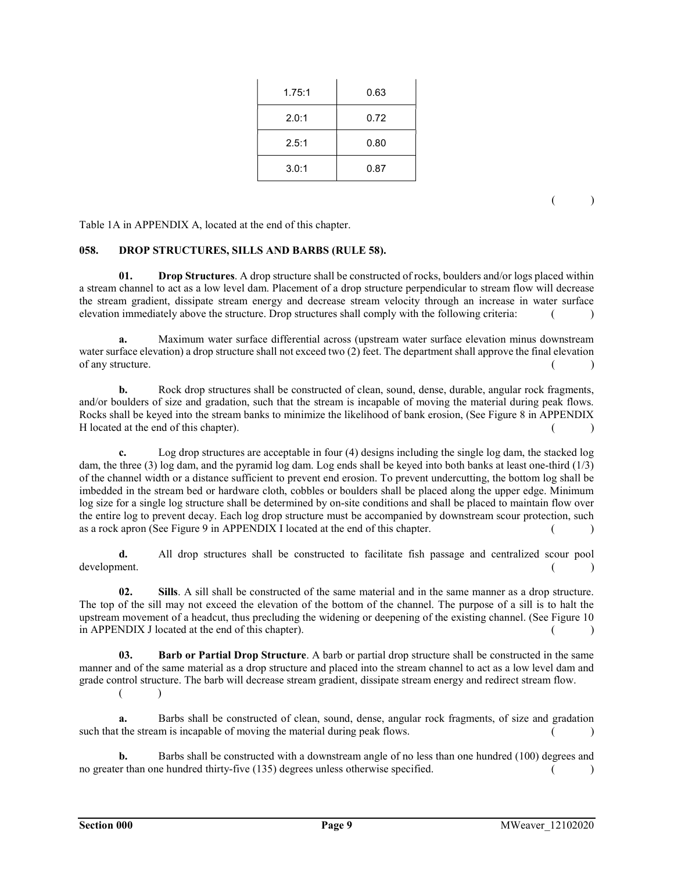| 1.75:1 | 0.63 |
|--------|------|
| 2.0:1  | 0.72 |
| 2.5:1  | 0.80 |
| 3.0:1  | 0.87 |

 $($  )

Table 1A in APPENDIX A, located at the end of this chapter.

#### 058. DROP STRUCTURES, SILLS AND BARBS (RULE 58).

01. Drop Structures. A drop structure shall be constructed of rocks, boulders and/or logs placed within a stream channel to act as a low level dam. Placement of a drop structure perpendicular to stream flow will decrease the stream gradient, dissipate stream energy and decrease stream velocity through an increase in water surface elevation immediately above the structure. Drop structures shall comply with the following criteria: ( )

 a. Maximum water surface differential across (upstream water surface elevation minus downstream water surface elevation) a drop structure shall not exceed two (2) feet. The department shall approve the final elevation of any structure.  $($ )

 b. Rock drop structures shall be constructed of clean, sound, dense, durable, angular rock fragments, and/or boulders of size and gradation, such that the stream is incapable of moving the material during peak flows. Rocks shall be keyed into the stream banks to minimize the likelihood of bank erosion, (See Figure 8 in APPENDIX H located at the end of this chapter). ( )

 c. Log drop structures are acceptable in four (4) designs including the single log dam, the stacked log dam, the three (3) log dam, and the pyramid log dam. Log ends shall be keyed into both banks at least one-third (1/3) of the channel width or a distance sufficient to prevent end erosion. To prevent undercutting, the bottom log shall be imbedded in the stream bed or hardware cloth, cobbles or boulders shall be placed along the upper edge. Minimum log size for a single log structure shall be determined by on-site conditions and shall be placed to maintain flow over the entire log to prevent decay. Each log drop structure must be accompanied by downstream scour protection, such as a rock apron (See Figure 9 in APPENDIX I located at the end of this chapter.  $($ )

 d. All drop structures shall be constructed to facilitate fish passage and centralized scour pool development. (a) and the contract of the contract of the contract of the contract of the contract of the contract of the contract of the contract of the contract of the contract of the contract of the contract of the contr

02. Sills. A sill shall be constructed of the same material and in the same manner as a drop structure. The top of the sill may not exceed the elevation of the bottom of the channel. The purpose of a sill is to halt the upstream movement of a headcut, thus precluding the widening or deepening of the existing channel. (See Figure 10 in APPENDIX J located at the end of this chapter).  $($ 

03. Barb or Partial Drop Structure. A barb or partial drop structure shall be constructed in the same manner and of the same material as a drop structure and placed into the stream channel to act as a low level dam and grade control structure. The barb will decrease stream gradient, dissipate stream energy and redirect stream flow.  $($  )

 a. Barbs shall be constructed of clean, sound, dense, angular rock fragments, of size and gradation such that the stream is incapable of moving the material during peak flows.  $($ )

 b. Barbs shall be constructed with a downstream angle of no less than one hundred (100) degrees and no greater than one hundred thirty-five (135) degrees unless otherwise specified. ()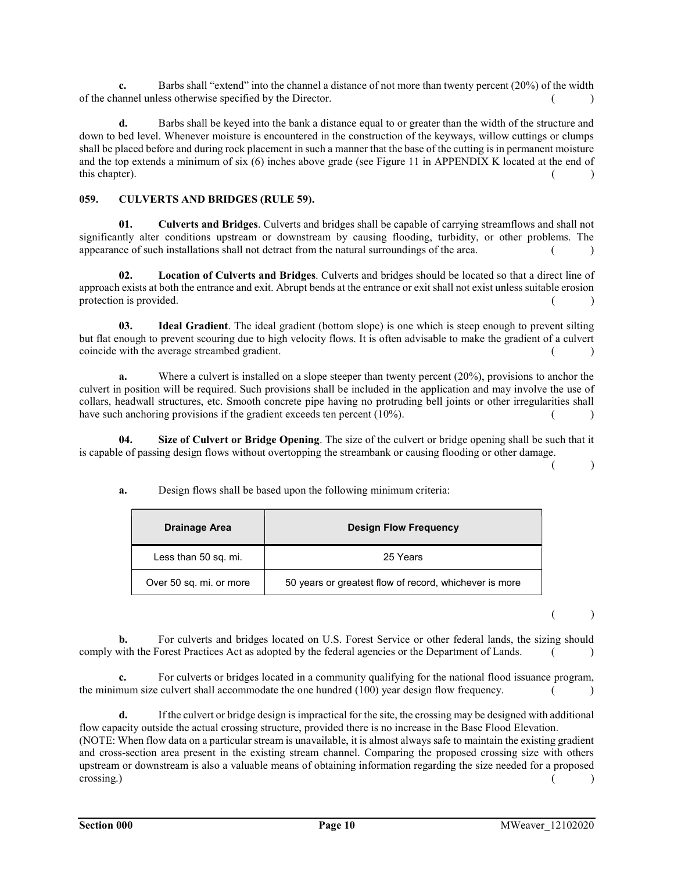c. Barbs shall "extend" into the channel a distance of not more than twenty percent (20%) of the width of the channel unless otherwise specified by the Director. ( )

 d. Barbs shall be keyed into the bank a distance equal to or greater than the width of the structure and down to bed level. Whenever moisture is encountered in the construction of the keyways, willow cuttings or clumps shall be placed before and during rock placement in such a manner that the base of the cutting is in permanent moisture and the top extends a minimum of six (6) inches above grade (see Figure 11 in APPENDIX K located at the end of  $\blacksquare$  this chapter). (a)  $($ 

## 059. CULVERTS AND BRIDGES (RULE 59).

01. Culverts and Bridges. Culverts and bridges shall be capable of carrying streamflows and shall not significantly alter conditions upstream or downstream by causing flooding, turbidity, or other problems. The appearance of such installations shall not detract from the natural surroundings of the area.  $($ 

02. Location of Culverts and Bridges. Culverts and bridges should be located so that a direct line of approach exists at both the entrance and exit. Abrupt bends at the entrance or exit shall not exist unless suitable erosion protection is provided.  $($ )

03. Ideal Gradient. The ideal gradient (bottom slope) is one which is steep enough to prevent silting but flat enough to prevent scouring due to high velocity flows. It is often advisable to make the gradient of a culvert coincide with the average streambed gradient. ( )

 a. Where a culvert is installed on a slope steeper than twenty percent (20%), provisions to anchor the culvert in position will be required. Such provisions shall be included in the application and may involve the use of collars, headwall structures, etc. Smooth concrete pipe having no protruding bell joints or other irregularities shall have such anchoring provisions if the gradient exceeds ten percent  $(10\%)$ . ()

04. Size of Culvert or Bridge Opening. The size of the culvert or bridge opening shall be such that it is capable of passing design flows without overtopping the streambank or causing flooding or other damage.

 $($  )

a. Design flows shall be based upon the following minimum criteria:

| Drainage Area           | <b>Design Flow Frequency</b>                           |
|-------------------------|--------------------------------------------------------|
| Less than 50 sq. mi.    | 25 Years                                               |
| Over 50 sq. mi. or more | 50 years or greatest flow of record, whichever is more |

 $($  )

 b. For culverts and bridges located on U.S. Forest Service or other federal lands, the sizing should comply with the Forest Practices Act as adopted by the federal agencies or the Department of Lands. ()

 c. For culverts or bridges located in a community qualifying for the national flood issuance program, the minimum size culvert shall accommodate the one hundred  $(100)$  year design flow frequency.  $($ 

 d. If the culvert or bridge design is impractical for the site, the crossing may be designed with additional flow capacity outside the actual crossing structure, provided there is no increase in the Base Flood Elevation.

(NOTE: When flow data on a particular stream is unavailable, it is almost always safe to maintain the existing gradient and cross-section area present in the existing stream channel. Comparing the proposed crossing size with others upstream or downstream is also a valuable means of obtaining information regarding the size needed for a proposed crossing.) ( ) and ( ) and ( ) and ( ) and ( ) and ( ) and ( ) and ( ) and ( ) and ( ) and ( ) and ( ) and ( ) and ( ) and ( ) and ( ) and ( ) and ( ) and ( ) and ( ) and ( ) and ( ) and ( ) and ( ) and ( ) and ( ) and ( )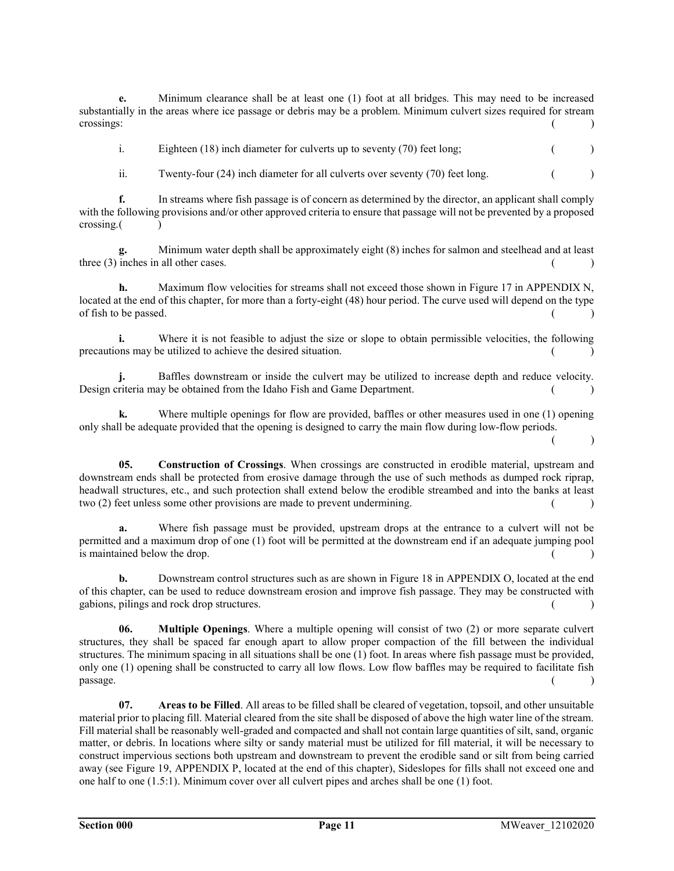e. Minimum clearance shall be at least one (1) foot at all bridges. This may need to be increased substantially in the areas where ice passage or debris may be a problem. Minimum culvert sizes required for stream crossings: ( )

i. Eighteen (18) inch diameter for culverts up to seventy (70) feet long; ()

ii. Twenty-four  $(24)$  inch diameter for all culverts over seventy  $(70)$  feet long.  $($ 

 f. In streams where fish passage is of concern as determined by the director, an applicant shall comply with the following provisions and/or other approved criteria to ensure that passage will not be prevented by a proposed crossing. ( )

 g. Minimum water depth shall be approximately eight (8) inches for salmon and steelhead and at least three  $(3)$  inches in all other cases.  $( )$ 

h. Maximum flow velocities for streams shall not exceed those shown in Figure 17 in APPENDIX N, located at the end of this chapter, for more than a forty-eight (48) hour period. The curve used will depend on the type of fish to be passed.

i. Where it is not feasible to adjust the size or slope to obtain permissible velocities, the following precautions may be utilized to achieve the desired situation. ( )

 j. Baffles downstream or inside the culvert may be utilized to increase depth and reduce velocity. Design criteria may be obtained from the Idaho Fish and Game Department. ( )

 k. Where multiple openings for flow are provided, baffles or other measures used in one (1) opening only shall be adequate provided that the opening is designed to carry the main flow during low-flow periods.  $($  )

05. Construction of Crossings. When crossings are constructed in erodible material, upstream and downstream ends shall be protected from erosive damage through the use of such methods as dumped rock riprap, headwall structures, etc., and such protection shall extend below the erodible streambed and into the banks at least two  $(2)$  feet unless some other provisions are made to prevent undermining.  $($ )

 a. Where fish passage must be provided, upstream drops at the entrance to a culvert will not be permitted and a maximum drop of one (1) foot will be permitted at the downstream end if an adequate jumping pool is maintained below the drop.  $($ )

 b. Downstream control structures such as are shown in Figure 18 in APPENDIX O, located at the end of this chapter, can be used to reduce downstream erosion and improve fish passage. They may be constructed with gabions, pilings and rock drop structures. ( )

06. Multiple Openings. Where a multiple opening will consist of two (2) or more separate culvert structures, they shall be spaced far enough apart to allow proper compaction of the fill between the individual structures. The minimum spacing in all situations shall be one (1) foot. In areas where fish passage must be provided, only one (1) opening shall be constructed to carry all low flows. Low flow baffles may be required to facilitate fish  $\alpha$  passage.  $($  )

07. Areas to be Filled. All areas to be filled shall be cleared of vegetation, topsoil, and other unsuitable material prior to placing fill. Material cleared from the site shall be disposed of above the high water line of the stream. Fill material shall be reasonably well-graded and compacted and shall not contain large quantities of silt, sand, organic matter, or debris. In locations where silty or sandy material must be utilized for fill material, it will be necessary to construct impervious sections both upstream and downstream to prevent the erodible sand or silt from being carried away (see Figure 19, APPENDIX P, located at the end of this chapter), Sideslopes for fills shall not exceed one and one half to one (1.5:1). Minimum cover over all culvert pipes and arches shall be one (1) foot.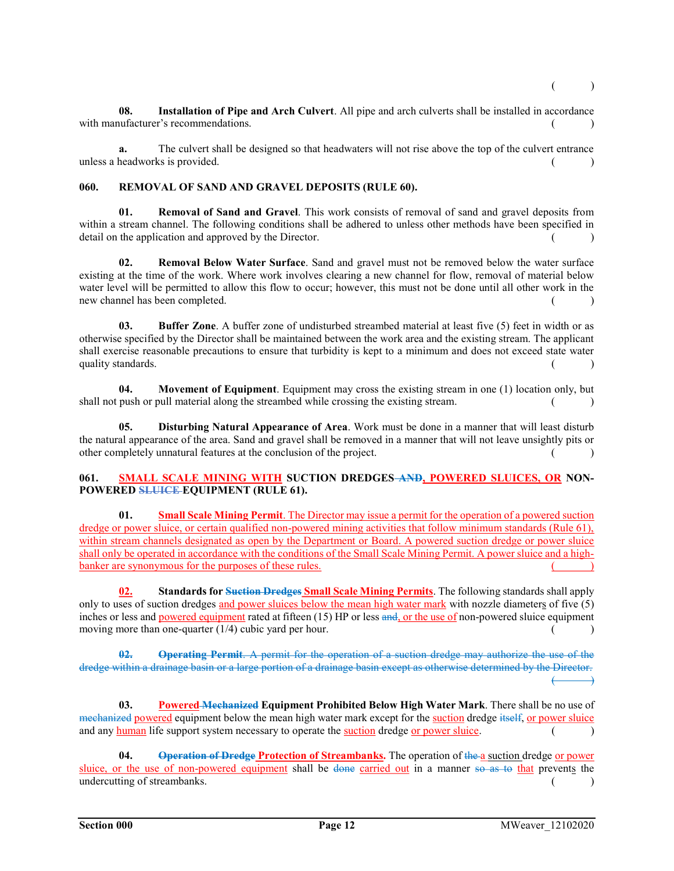08. Installation of Pipe and Arch Culvert. All pipe and arch culverts shall be installed in accordance with manufacturer's recommendations. ( )

 a. The culvert shall be designed so that headwaters will not rise above the top of the culvert entrance unless a headworks is provided. (a) and  $\left( \right)$  and  $\left( \right)$  and  $\left( \right)$  and  $\left( \right)$  and  $\left( \right)$  and  $\left( \right)$  and  $\left( \right)$  and  $\left( \right)$  and  $\left( \right)$  and  $\left( \right)$  and  $\left( \right)$  and  $\left( \right)$  and  $\left( \right)$  and  $\left( \right)$  and

## 060. REMOVAL OF SAND AND GRAVEL DEPOSITS (RULE 60).

01. Removal of Sand and Gravel. This work consists of removal of sand and gravel deposits from within a stream channel. The following conditions shall be adhered to unless other methods have been specified in detail on the application and approved by the Director. ( )

02. Removal Below Water Surface. Sand and gravel must not be removed below the water surface existing at the time of the work. Where work involves clearing a new channel for flow, removal of material below water level will be permitted to allow this flow to occur; however, this must not be done until all other work in the new channel has been completed. ( )

03. Buffer Zone. A buffer zone of undisturbed streambed material at least five (5) feet in width or as otherwise specified by the Director shall be maintained between the work area and the existing stream. The applicant shall exercise reasonable precautions to ensure that turbidity is kept to a minimum and does not exceed state water quality standards.  $($ 

04. Movement of Equipment. Equipment may cross the existing stream in one (1) location only, but shall not push or pull material along the streambed while crossing the existing stream.  $($ 

05. Disturbing Natural Appearance of Area. Work must be done in a manner that will least disturb the natural appearance of the area. Sand and gravel shall be removed in a manner that will not leave unsightly pits or other completely unnatural features at the conclusion of the project. ( )

## 061. SMALL SCALE MINING WITH SUCTION DREDGES AND, POWERED SLUICES, OR NON-POWERED SLUICE-EQUIPMENT (RULE 61).

01. Small Scale Mining Permit. The Director may issue a permit for the operation of a powered suction dredge or power sluice, or certain qualified non-powered mining activities that follow minimum standards (Rule 61), within stream channels designated as open by the Department or Board. A powered suction dredge or power sluice shall only be operated in accordance with the conditions of the Small Scale Mining Permit. A power sluice and a highbanker are synonymous for the purposes of these rules.

02. Standards for Suction Dredges Small Scale Mining Permits. The following standards shall apply only to uses of suction dredges and power sluices below the mean high water mark with nozzle diameters of five (5) inches or less and powered equipment rated at fifteen (15) HP or less and, or the use of non-powered sluice equipment moving more than one-quarter  $(1/4)$  cubic yard per hour. ( )

02. Operating Permit. A permit for the operation of a suction dredge may authorize the use of the dredge within a drainage basin or a large portion of a drainage basin except as otherwise determined by the Director.  $\longleftrightarrow$ 

03. Powered Mechanized Equipment Prohibited Below High Water Mark. There shall be no use of mechanized powered equipment below the mean high water mark except for the suction dredge itself, or power sluice and any human life support system necessary to operate the suction dredge or power sluice. ( )

04. Operation of Dredge Protection of Streambanks. The operation of the a suction dredge or power sluice, or the use of non-powered equipment shall be done carried out in a manner so as to that prevents the undercutting of streambanks. (a) and  $($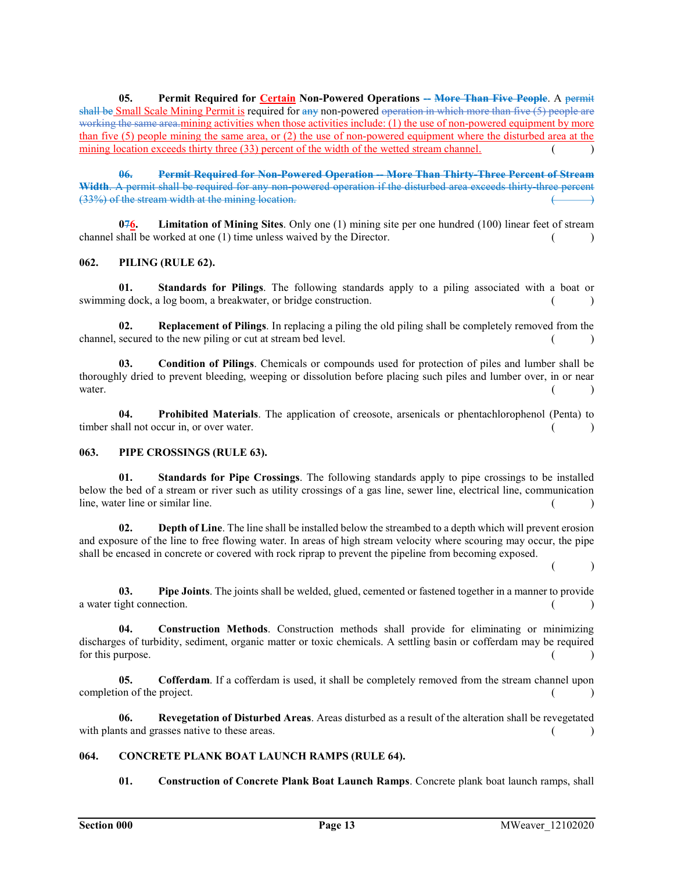05. Permit Required for Certain Non-Powered Operations -- More Than Five People. A permit shall be Small Scale Mining Permit is required for any non-powered operation in which more than five (5) people are working the same area.mining activities when those activities include: (1) the use of non-powered equipment by more than five (5) people mining the same area, or (2) the use of non-powered equipment where the disturbed area at the mining location exceeds thirty three (33) percent of the width of the wetted stream channel. ()

06. Permit Required for Non-Powered Operation -- More Than Thirty-Three Percent of Stream Width. A permit shall be required for any non-powered operation if the disturbed area exceeds thirty three percent  $(33%)$  of the stream width at the mining location.

 $0.76$ . Limitation of Mining Sites. Only one (1) mining site per one hundred (100) linear feet of stream channel shall be worked at one (1) time unless waived by the Director.  $($ 

## 062. PILING (RULE 62).

01. Standards for Pilings. The following standards apply to a piling associated with a boat or swimming dock, a log boom, a breakwater, or bridge construction. ( )

02. Replacement of Pilings. In replacing a piling the old piling shall be completely removed from the channel, secured to the new piling or cut at stream bed level.

03. Condition of Pilings. Chemicals or compounds used for protection of piles and lumber shall be thoroughly dried to prevent bleeding, weeping or dissolution before placing such piles and lumber over, in or near water.  $($ )

04. Prohibited Materials. The application of creosote, arsenicals or phentachlorophenol (Penta) to timber shall not occur in, or over water. ( )

## 063. PIPE CROSSINGS (RULE 63).

01. Standards for Pipe Crossings. The following standards apply to pipe crossings to be installed below the bed of a stream or river such as utility crossings of a gas line, sewer line, electrical line, communication line, water line or similar line. ( )

02. Depth of Line. The line shall be installed below the streambed to a depth which will prevent erosion and exposure of the line to free flowing water. In areas of high stream velocity where scouring may occur, the pipe shall be encased in concrete or covered with rock riprap to prevent the pipeline from becoming exposed.

 $($  )

03. Pipe Joints. The joints shall be welded, glued, cemented or fastened together in a manner to provide a water tight connection. ( )

04. Construction Methods. Construction methods shall provide for eliminating or minimizing discharges of turbidity, sediment, organic matter or toxic chemicals. A settling basin or cofferdam may be required for this purpose.  $($ )

05. Cofferdam. If a cofferdam is used, it shall be completely removed from the stream channel upon  $\epsilon$  completion of the project.  $($ 

06. Revegetation of Disturbed Areas. Areas disturbed as a result of the alteration shall be revegetated with plants and grasses native to these areas.  $($ )

## 064. CONCRETE PLANK BOAT LAUNCH RAMPS (RULE 64).

01. Construction of Concrete Plank Boat Launch Ramps. Concrete plank boat launch ramps, shall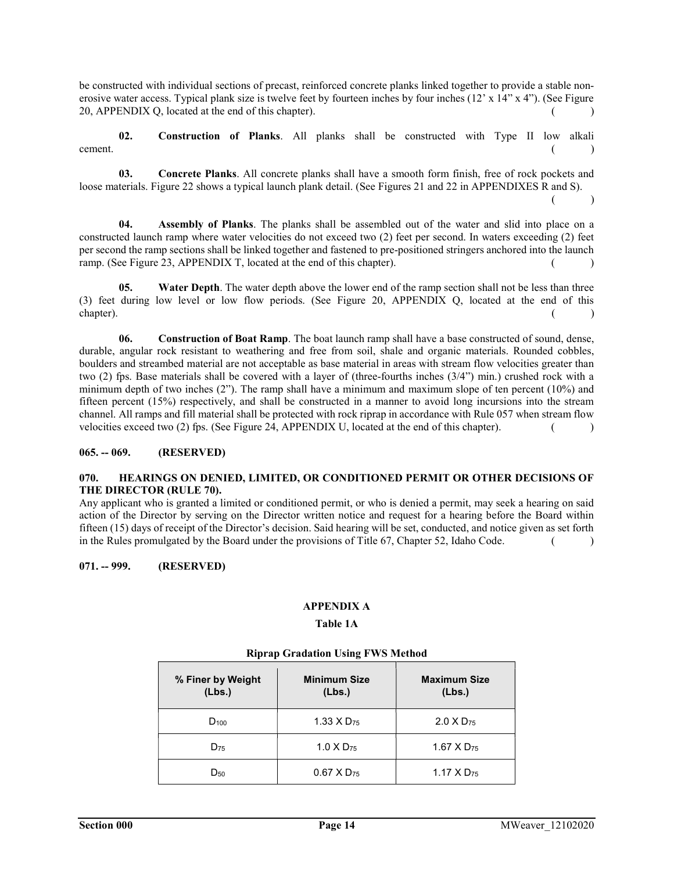be constructed with individual sections of precast, reinforced concrete planks linked together to provide a stable nonerosive water access. Typical plank size is twelve feet by fourteen inches by four inches (12' x 14" x 4"). (See Figure 20, APPENDIX O, located at the end of this chapter).  $($ 

02. Construction of Planks. All planks shall be constructed with Type II low alkali cement. (a) and  $\sim$  (b) and  $\sim$  (c) and  $\sim$  (c) and  $\sim$  (c) and  $\sim$  (c) and  $\sim$  (c) and  $\sim$  (c) and  $\sim$  (c) and  $\sim$  (c) and  $\sim$  (c) and  $\sim$  (c) and  $\sim$  (c) and  $\sim$  (c) and  $\sim$  (c) and  $\sim$  (c) and  $\sim$  (c) an

03. Concrete Planks. All concrete planks shall have a smooth form finish, free of rock pockets and loose materials. Figure 22 shows a typical launch plank detail. (See Figures 21 and 22 in APPENDIXES R and S).

 $($  )

04. Assembly of Planks. The planks shall be assembled out of the water and slid into place on a constructed launch ramp where water velocities do not exceed two (2) feet per second. In waters exceeding (2) feet per second the ramp sections shall be linked together and fastened to pre-positioned stringers anchored into the launch ramp. (See Figure 23, APPENDIX T, located at the end of this chapter). ( )

05. Water Depth. The water depth above the lower end of the ramp section shall not be less than three (3) feet during low level or low flow periods. (See Figure 20, APPENDIX Q, located at the end of this chapter). (a) and the chapter of the chapter of the chapter of the chapter of the chapter of the chapter of the chapter of the chapter of the chapter of the chapter of the chapter of the chapter of the chapter of the chapt

06. Construction of Boat Ramp. The boat launch ramp shall have a base constructed of sound, dense, durable, angular rock resistant to weathering and free from soil, shale and organic materials. Rounded cobbles, boulders and streambed material are not acceptable as base material in areas with stream flow velocities greater than two (2) fps. Base materials shall be covered with a layer of (three-fourths inches (3/4") min.) crushed rock with a minimum depth of two inches (2"). The ramp shall have a minimum and maximum slope of ten percent (10%) and fifteen percent (15%) respectively, and shall be constructed in a manner to avoid long incursions into the stream channel. All ramps and fill material shall be protected with rock riprap in accordance with Rule 057 when stream flow velocities exceed two (2) fps. (See Figure 24, APPENDIX U, located at the end of this chapter). ( )

## 065. -- 069. (RESERVED)

## 070. HEARINGS ON DENIED, LIMITED, OR CONDITIONED PERMIT OR OTHER DECISIONS OF THE DIRECTOR (RULE 70).

Any applicant who is granted a limited or conditioned permit, or who is denied a permit, may seek a hearing on said action of the Director by serving on the Director written notice and request for a hearing before the Board within fifteen (15) days of receipt of the Director's decision. Said hearing will be set, conducted, and notice given as set forth in the Rules promulgated by the Board under the provisions of Title  $67$ , Chapter 52, Idaho Code.  $($ 

## 071. -- 999. (RESERVED)

# APPENDIX A

# Table 1A

| % Finer by Weight<br>(Lbs.) | <b>Minimum Size</b><br>(Lbs.) | <b>Maximum Size</b><br>(Lbs.) |  |
|-----------------------------|-------------------------------|-------------------------------|--|
| $D_{100}$                   | 1.33 $\times$ D <sub>75</sub> | $2.0 X D_{75}$                |  |
| $D_{75}$                    | $1.0 \times D_{75}$           | $1.67$ X D <sub>75</sub>      |  |
| $D_{50}$                    | $0.67$ X D <sub>75</sub>      | 1.17 $\times$ D <sub>75</sub> |  |

## Riprap Gradation Using FWS Method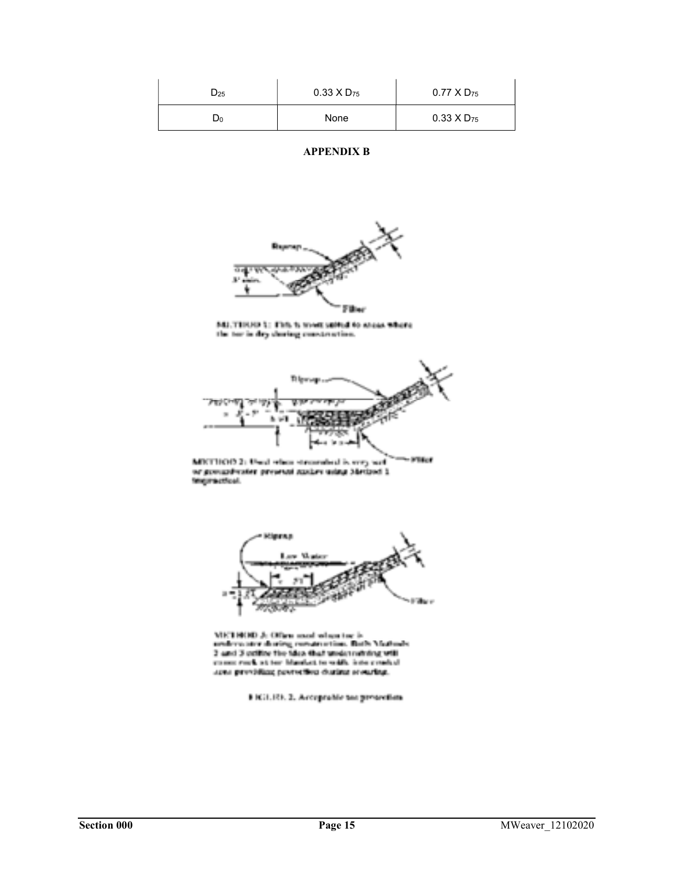| $D_{25}$ | $0.33 \times D_{75}$ | $0.77$ X D <sub>75</sub> |
|----------|----------------------|--------------------------|
| D0       | None                 | $0.33 \times D_{75}$     |

# APPENDIX B



MLTIERE L: This is most safful to sheas where<br>the tor in dry charing construction.



 $-900$  for MICTION 2: Used when streamhed is very set or goosaphirater projetal auxuri islau Mexicot 1



METHOD A Office mod when the h<br>anders are during construction. Buth Matures<br>2 and 3 optice the Max that weder nothing will come rack at two blanks), to walk, interconded sees previding poeterben during stearing.

8 Hill, Rt. 2, Arceptable tax presention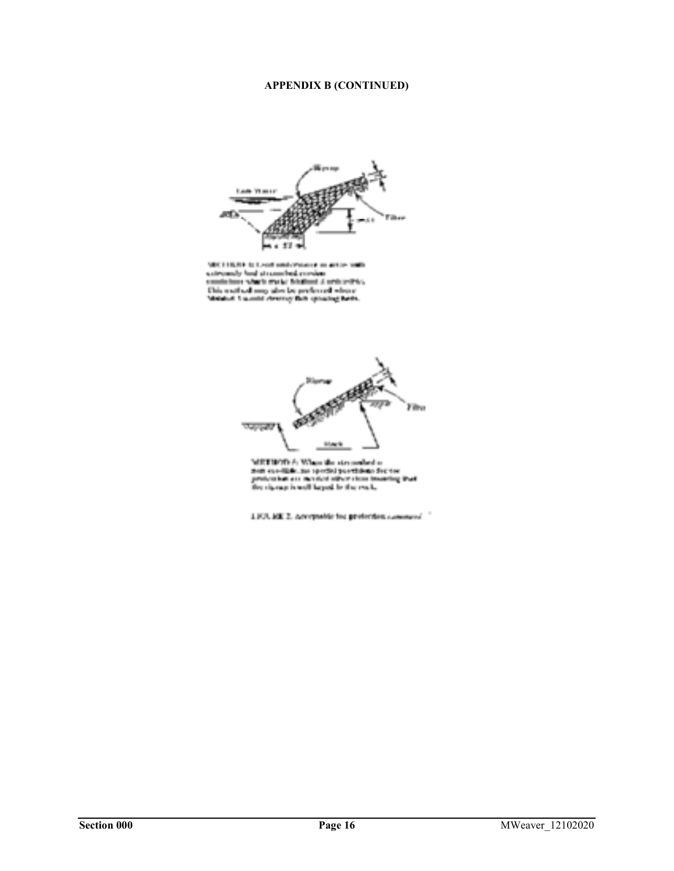# APPENDIX B (CONTINUED)



MEC 110,000 in Least and extracts in action with an<br>integrally had at completel consider continues with the Columb at the<br>finite state of the Schiffinity is an integrally the Columb state<br> $\alpha$  and  $\alpha$  and the<br>state of th



MIST WORK A When the streamholes is<br>not see-like, he special portfolio for the<br>projection are needed offer stem invaring<br>the signap is well larged, in the real, ting that

1103.100 2. Acceptable for profection commerci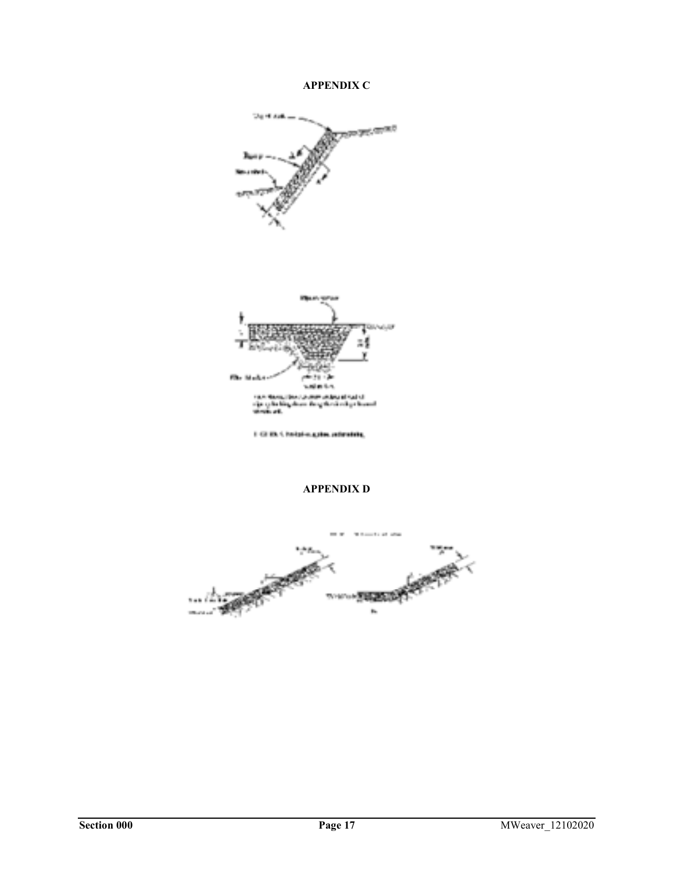# APPENDIX C





I GI IS 1 habita gita adminis,

# APPENDIX D

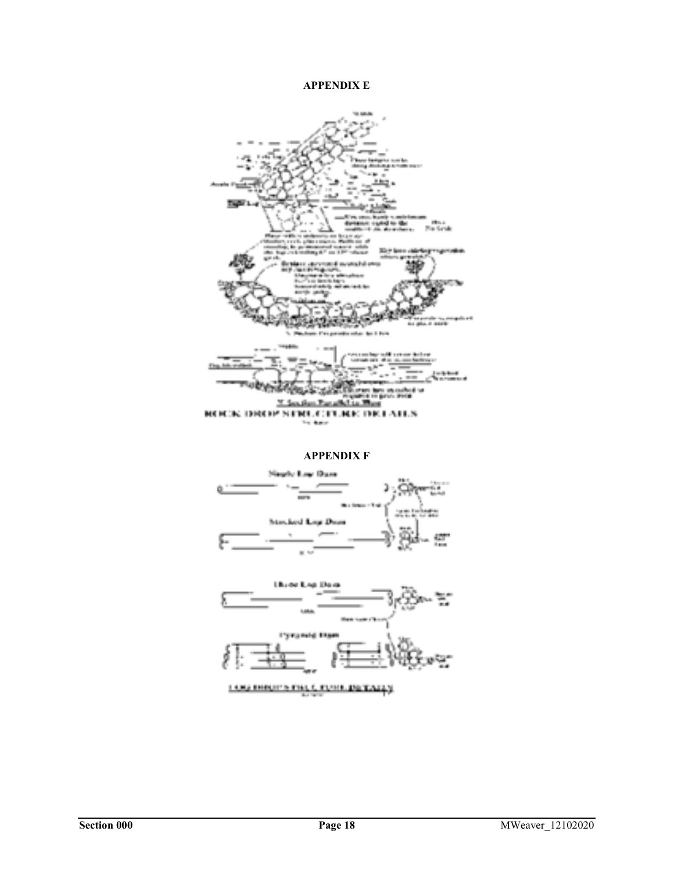# **APPENDIX E**



## **APPENDIX F**



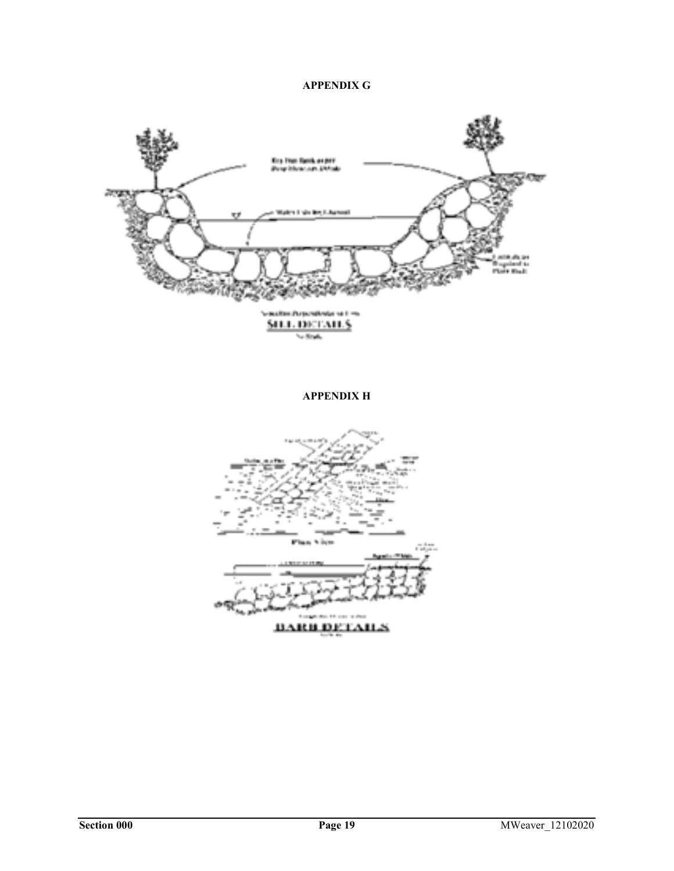# **APPENDIX G**



**APPENDIX H** 

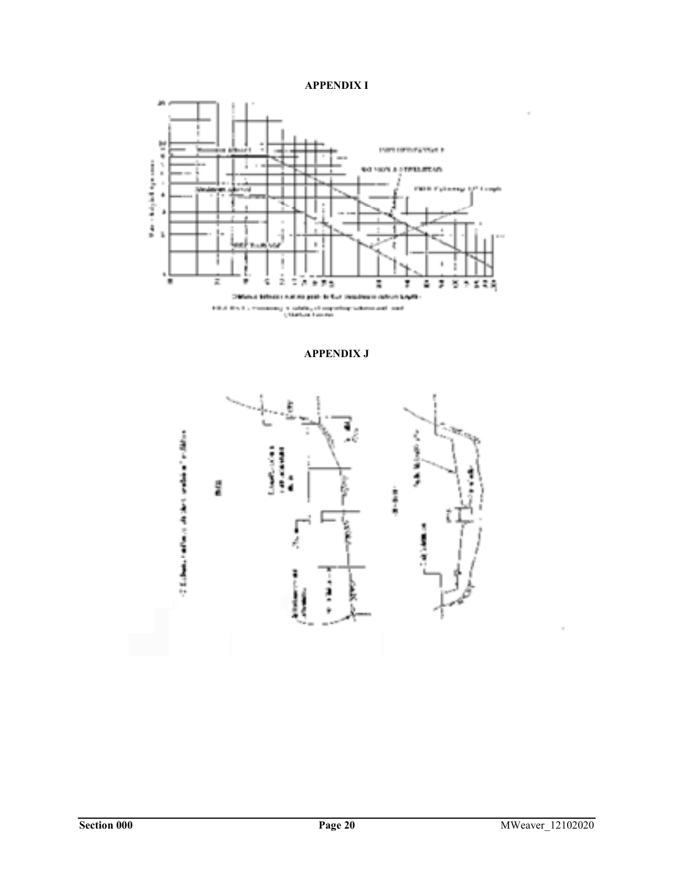



**APPENDIX J** 



ÿ

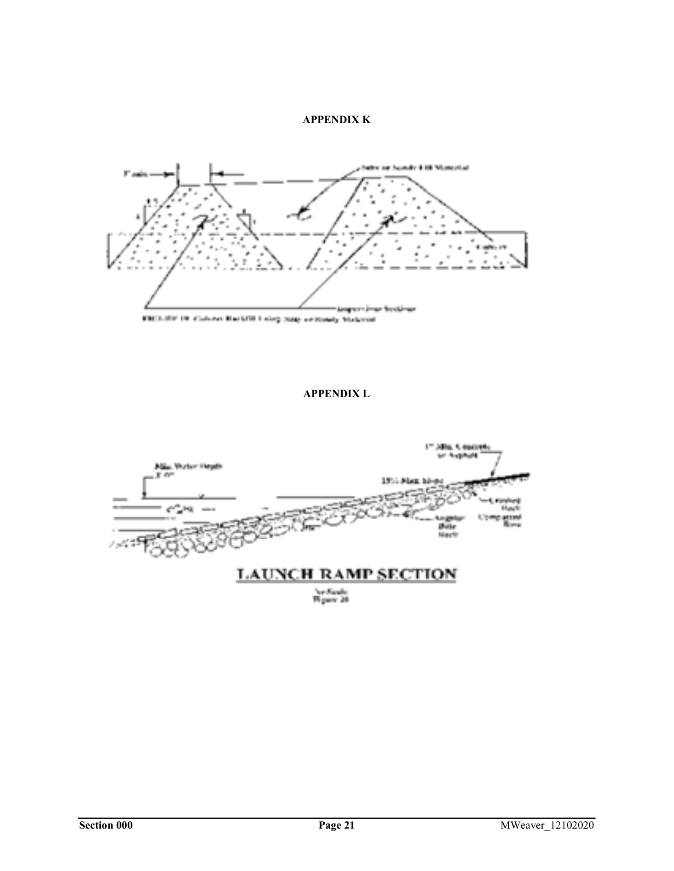## **APPENDIX K**



# **APPENDIX L**



Ne Saula<br>Wigare 20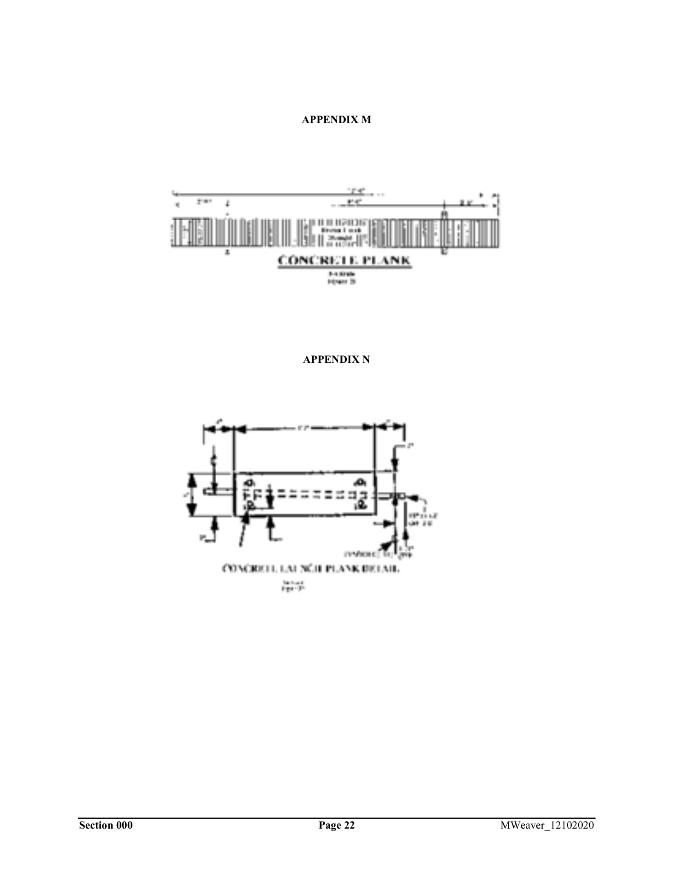# **APPENDIX M**



**APPENDIX N**